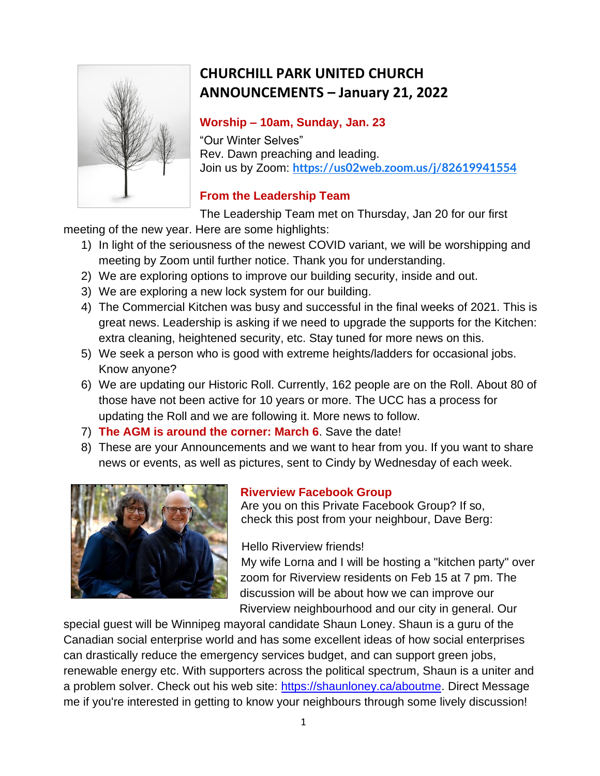

# **CHURCHILL PARK UNITED CHURCH ANNOUNCEMENTS – January 21, 2022**

### **Worship – 10am, Sunday, Jan. 23**

"Our Winter Selves" Rev. Dawn preaching and leading. Join us by Zoom: **<https://us02web.zoom.us/j/82619941554>**

## **From the Leadership Team**

The Leadership Team met on Thursday, Jan 20 for our first

meeting of the new year. Here are some highlights:

- 1) In light of the seriousness of the newest COVID variant, we will be worshipping and meeting by Zoom until further notice. Thank you for understanding.
- 2) We are exploring options to improve our building security, inside and out.
- 3) We are exploring a new lock system for our building.
- 4) The Commercial Kitchen was busy and successful in the final weeks of 2021. This is great news. Leadership is asking if we need to upgrade the supports for the Kitchen: extra cleaning, heightened security, etc. Stay tuned for more news on this.
- 5) We seek a person who is good with extreme heights/ladders for occasional jobs. Know anyone?
- 6) We are updating our Historic Roll. Currently, 162 people are on the Roll. About 80 of those have not been active for 10 years or more. The UCC has a process for updating the Roll and we are following it. More news to follow.
- 7) **The AGM is around the corner: March 6**. Save the date!
- 8) These are your Announcements and we want to hear from you. If you want to share news or events, as well as pictures, sent to Cindy by Wednesday of each week.



## **Riverview Facebook Group**

Are you on this Private Facebook Group? If so, check this post from your neighbour, Dave Berg:

Hello Riverview friends!

My wife Lorna and I will be hosting a "kitchen party" over zoom for Riverview residents on Feb 15 at 7 pm. The discussion will be about how we can improve our Riverview neighbourhood and our city in general. Our

special guest will be Winnipeg mayoral candidate Shaun Loney. Shaun is a guru of the Canadian social enterprise world and has some excellent ideas of how social enterprises can drastically reduce the emergency services budget, and can support green jobs, renewable energy etc. With supporters across the political spectrum, Shaun is a uniter and a problem solver. Check out his web site: [https://shaunloney.ca/aboutme.](https://l.facebook.com/l.php?u=https%3A%2F%2Fshaunloney.ca%2Faboutme%3Ffbclid%3DIwAR1e31_oYB7i2SGEeNHxRt1SQgbAaKq8EYeXPfLVpG_aChInVJRRv0NiJDA&h=AT2xOCMDZGBzjJk8o54jfCZglo-fV2WWPUa-adEsJcYCxpiGuLFqRDAAoNTbM8S45VrYpR-8q3el10-Fxomnr0akyXgdvJiLcaHiEnvSPR-_rTDXAvNeEG7amptoPzqyqg&__tn__=-UK-R&c%5b0%5d=AT0XX-6OUT3A5Ww2AAjY-0kILUtnP7xKgL10I45aRE7vdtXaiNCu_iPGtwztcnu98DK68j0Og6neyt6xJEssrnLo6Lzg48vP4YB4HqF9KSUWBR0Q5WvqVb1PAnrXg2si2uR9wjI5fRb2BQBGqYznCsb5Oz2iBO4ekEVEI3yfRA-NRBXmad8UElKPGgYtlgYwEZvEJqs26K_CDshFszA) Direct Message me if you're interested in getting to know your neighbours through some lively discussion!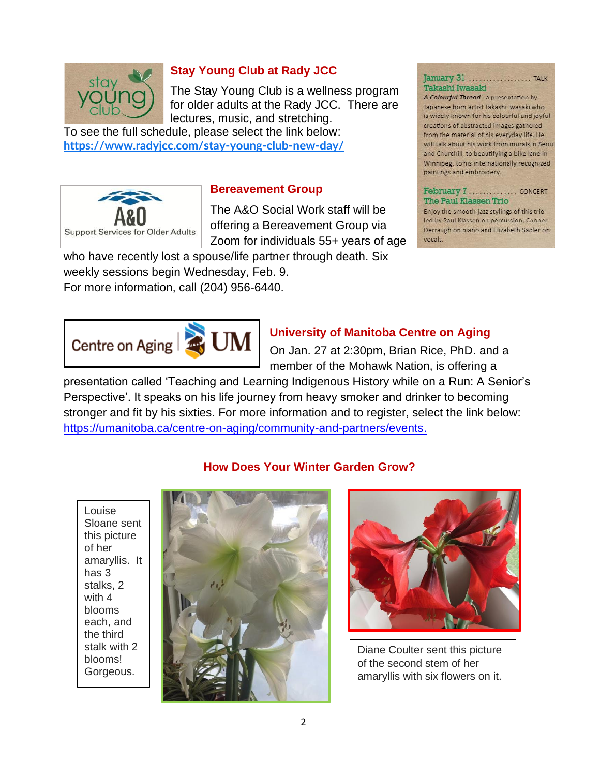

### **Stay Young Club at Rady JCC**

The Stay Young Club is a wellness program for older adults at the Rady JCC. There are lectures, music, and stretching.

To see the full schedule, please select the link below: **<https://www.radyjcc.com/stay-young-club-new-day/>**



### **Bereavement Group**

The A&O Social Work staff will be offering a Bereavement Group via Zoom for individuals 55+ years of age

who have recently lost a spouse/life partner through death. Six weekly sessions begin Wednesday, Feb. 9. For more information, call (204) 956-6440.

### **University of Manitoba Centre on Aging**

On Jan. 27 at 2:30pm, Brian Rice, PhD. and a member of the Mohawk Nation, is offering a

presentation called 'Teaching and Learning Indigenous History while on a Run: A Senior's Perspective'. It speaks on his life journey from heavy smoker and drinker to becoming stronger and fit by his sixties. For more information and to register, select the link below: [https://umanitoba.ca/centre-on-aging/community-and-partners/events.](https://umanitoba.ca/centre-on-aging/community-and-partners/events)

**How Does Your Winter Garden Grow?**

Louise Sloane sent this picture of her amaryllis. It has 3 stalks, 2 with 4 blooms each, and the third stalk with 2 blooms! Gorgeous.





Diane Coulter sent this picture of the second stem of her amaryllis with six flowers on it.

### Takashi Iwasaki

A Colourful Thread - a presentation by Japanese born artist Takashi Iwasaki who is widely known for his colourful and joyful creations of abstracted images gathered from the material of his everyday life. He will talk about his work from murals in Seoul and Churchill, to beautifying a bike lane in Winnipeg, to his internationally recognized paintings and embroidery.

### The Paul Klassen Trio

Enjoy the smooth jazz stylings of this trio led by Paul Klassen on percussion, Conner Derraugh on piano and Elizabeth Sadler on vocals.